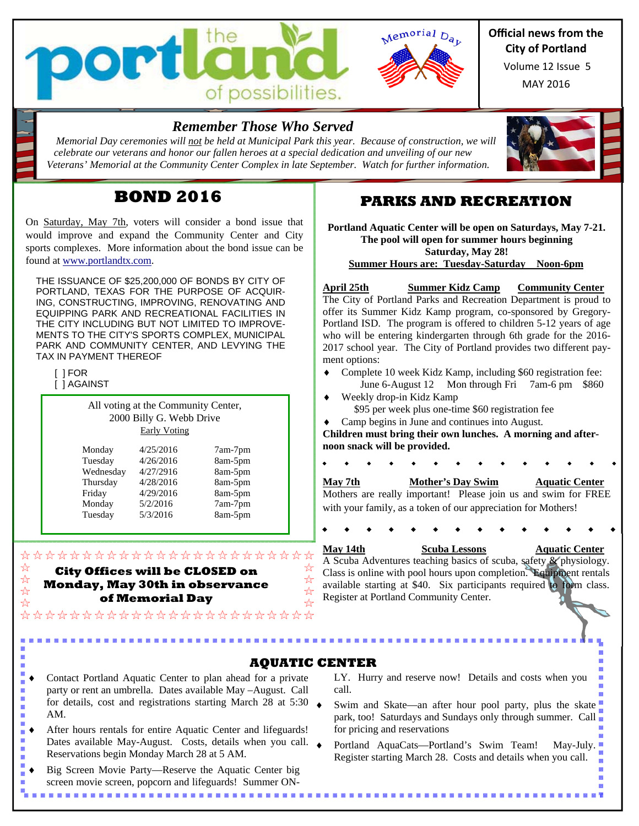



## **Official news from the City of Portland**

MAY 2016 Volume 12 Issue 5

## *Remember Those Who Served*

 *Memorial Day ceremonies will not be held at Municipal Park this year. Because of construction, we will celebrate our veterans and honor our fallen heroes at a special dedication and unveiling of our new Veterans' Memorial at the Community Center Complex in late September. Watch for further information.*

# **BOND 2016**

On Saturday, May 7th, voters will consider a bond issue that would improve and expand the Community Center and City sports complexes. More information about the bond issue can be found at www.portlandtx.com.

THE ISSUANCE OF \$25,200,000 OF BONDS BY CITY OF PORTLAND, TEXAS FOR THE PURPOSE OF ACQUIR-ING, CONSTRUCTING, IMPROVING, RENOVATING AND EQUIPPING PARK AND RECREATIONAL FACILITIES IN THE CITY INCLUDING BUT NOT LIMITED TO IMPROVE-MENTS TO THE CITY'S SPORTS COMPLEX, MUNICIPAL PARK AND COMMUNITY CENTER, AND LEVYING THE TAX IN PAYMENT THEREOF

 [ ] FOR  $\overline{1}$  ] AGAINST

i.

All voting at the Community Center, 2000 Billy G. Webb Drive Early Voting

| Monday    | 4/25/2016 | 7am-7pm |
|-----------|-----------|---------|
| Tuesday   | 4/26/2016 | 8am-5pm |
| Wednesday | 4/27/2916 | 8am-5pm |
| Thursday  | 4/28/2016 | 8am-5pm |
| Friday    | 4/29/2016 | 8am-5pm |
| Monday    | 5/2/2016  | 7am-7pm |
| Tuesday   | 5/3/2016  | 8am-5pm |

#### ☆ **City Offices will be CLOSED on**  ☆ **Monday, May 30th in observance**  ☆ **of Memorial Day**  ☆

\*\*\*\*\*\*\*\*\*\*\*\*\*\*\*\*\*\*\*\*\*\*\*\*

\*\*\*\*\*\*\*\*\*\*\*\*\*\*\*\*\*\*\*\*\*\*\*\*

## **PARKS AND RECREATION**

**Portland Aquatic Center will be open on Saturdays, May 7-21. The pool will open for summer hours beginning Saturday, May 28!** 

**Summer Hours are: Tuesday-Saturday Noon-6pm** 

**April 25th Summer Kidz Camp Community Center**  The City of Portland Parks and Recreation Department is proud to offer its Summer Kidz Kamp program, co-sponsored by Gregory-Portland ISD. The program is offered to children 5-12 years of age who will be entering kindergarten through 6th grade for the 2016- 2017 school year. The City of Portland provides two different payment options:

- Complete 10 week Kidz Kamp, including \$60 registration fee: June 6-August 12 Mon through Fri 7am-6 pm \$860
- Weekly drop-in Kidz Kamp \$95 per week plus one-time \$60 registration fee
- Camp begins in June and continues into August.

**Children must bring their own lunches. A morning and afternoon snack will be provided.**

**May 7th** Mother's Day Swim Aquatic Center Mothers are really important! Please join us and swim for FREE with your family, as a token of our appreciation for Mothers!

**May 14th Scuba Lessons Aquatic Center** 

A Scuba Adventures teaching basics of scuba, safety & physiology. Class is online with pool hours upon completion. Equipment rentals available starting at \$40. Six participants required to form class. Register at Portland Community Center.

- **AQUATIC CENTER**
- 9 Contact Portland Aquatic Center to plan ahead for a private i. party or rent an umbrella. Dates available May –August. Call š i. for details, cost and registrations starting March 28 at 5:30 i. AM.
- After hours rentals for entire Aquatic Center and lifeguards! ø Dates available May-August. Costs, details when you call. Reservations begin Monday March 28 at 5 AM.
- Big Screen Movie Party—Reserve the Aquatic Center big screen movie screen, popcorn and lifeguards! Summer ON-

LY. Hurry and reserve now! Details and costs when you call.

- Swim and Skate—an after hour pool party, plus the skate park, too! Saturdays and Sundays only through summer. Call for pricing and reservations
- Portland AquaCats—Portland's Swim Team! May-July. Register starting March 28. Costs and details when you call.